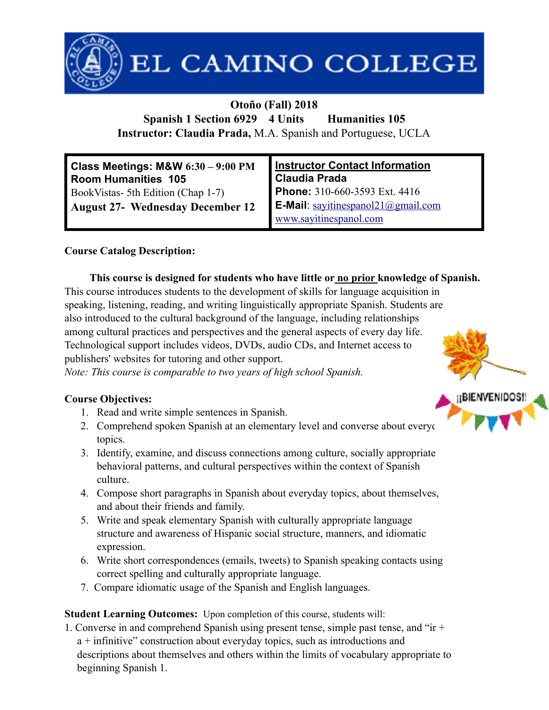

# EL CAMINO COLLEGE

#### **Otoño (Fall) 2018**

**Spanish 1 Section 6929 4 Units Humanities 105 Instructor: Claudia Prada,** M.A. Spanish and Portuguese, UCLA

| Class Meetings: M&W 6:30 - 9:00 PM<br>Room Humanities 105 | Instructor Contact Information<br>Claudia Prada |  |
|-----------------------------------------------------------|-------------------------------------------------|--|
| BookVistas- 5th Edition (Chap 1-7)                        | Phone: 310-660-3593 Ext. 4416                   |  |
| <b>August 27- Wednesday December 12</b>                   | <b>E-Mail</b> : $savitinespanol21@gmail.com$    |  |
|                                                           | www.sayitinespanol.com                          |  |

#### **Course Catalog Description:**

#### **This course is designed for students who have little or no prior knowledge of Spanish.**

This course introduces students to the development of skills for language acquisition in speaking, listening, reading, and writing linguistically appropriate Spanish. Students are also introduced to the cultural background of the language, including relationships among cultural practices and perspectives and the general aspects of every day life. Technological support includes videos, DVDs, audio CDs, and Internet access to publishers' websites for tutoring and other support.

*Note: This course is comparable to two years of high school Spanish.*

#### **Course Objectives:**

- 1. Read and write simple sentences in Spanish.
- 2. Comprehend spoken Spanish at an elementary level and converse about everyon topics.
- 3. Identify, examine, and discuss connections among culture, socially appropriate behavioral patterns, and cultural perspectives within the context of Spanish culture.
- 4. Compose short paragraphs in Spanish about everyday topics, about themselves, and about their friends and family.
- 5. Write and speak elementary Spanish with culturally appropriate language structure and awareness of Hispanic social structure, manners, and idiomatic expression.
- 6. Write short correspondences (emails, tweets) to Spanish speaking contacts using correct spelling and culturally appropriate language.
- 7. Compare idiomatic usage of the Spanish and English languages.

#### **Student Learning Outcomes:** Upon completion of this course, students will:

1. Converse in and comprehend Spanish using present tense, simple past tense, and "ir + a + infinitive" construction about everyday topics, such as introductions and descriptions about themselves and others within the limits of vocabulary appropriate to beginning Spanish 1.

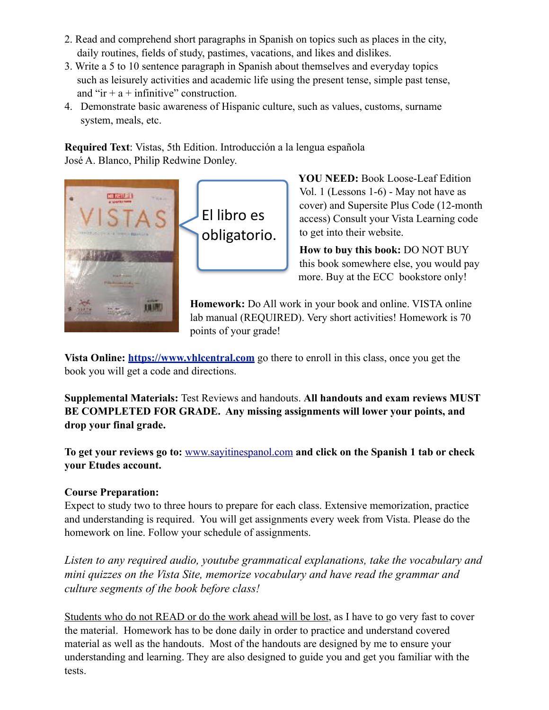- 2. Read and comprehend short paragraphs in Spanish on topics such as places in the city, daily routines, fields of study, pastimes, vacations, and likes and dislikes.
- 3. Write a 5 to 10 sentence paragraph in Spanish about themselves and everyday topics such as leisurely activities and academic life using the present tense, simple past tense, and " $\mathbf{i}$ r + a + infinitive" construction.
- 4. Demonstrate basic awareness of Hispanic culture, such as values, customs, surname system, meals, etc.

**Required Text**: Vistas, 5th Edition. Introducción a la lengua española José A. Blanco, Philip Redwine Donley.



El libro es obligatorio. **YOU NEED:** Book Loose-Leaf Edition Vol. 1 (Lessons 1-6) - May not have as cover) and Supersite Plus Code (12-month access) Consult your Vista Learning code to get into their website.

**How to buy this book:** DO NOT BUY this book somewhere else, you would pay more. Buy at the ECC bookstore only!

**Homework:** Do All work in your book and online. VISTA online lab manual (REQUIRED). Very short activities! Homework is 70 points of your grade!

**Vista Online: <https://www.vhlcentral.com>** go there to enroll in this class, once you get the book you will get a code and directions.

**Supplemental Materials:** Test Reviews and handouts. **All handouts and exam reviews MUST BE COMPLETED FOR GRADE. Any missing assignments will lower your points, and drop your final grade.** 

**To get your reviews go to:** [www.sayitinespanol.com](http://www.sayitinespanol.com) **and click on the Spanish 1 tab or check your Etudes account.**

#### **Course Preparation:**

Expect to study two to three hours to prepare for each class. Extensive memorization, practice and understanding is required. You will get assignments every week from Vista. Please do the homework on line. Follow your schedule of assignments.

*Listen to any required audio, youtube grammatical explanations, take the vocabulary and mini quizzes on the Vista Site, memorize vocabulary and have read the grammar and culture segments of the book before class!* 

Students who do not READ or do the work ahead will be lost, as I have to go very fast to cover the material. Homework has to be done daily in order to practice and understand covered material as well as the handouts. Most of the handouts are designed by me to ensure your understanding and learning. They are also designed to guide you and get you familiar with the tests.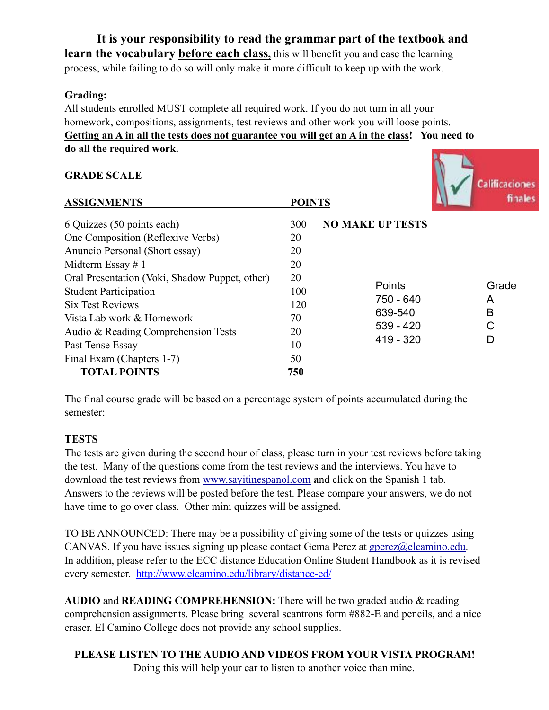**It is your responsibility to read the grammar part of the textbook and learn the vocabulary before each class,** this will benefit you and ease the learning process, while failing to do so will only make it more difficult to keep up with the work.

#### **Grading:**

All students enrolled MUST complete all required work. If you do not turn in all your homework, compositions, assignments, test reviews and other work you will loose points. **Getting an A in all the tests does not guarantee you will get an A in the class! You need to do all the required work.**

#### **GRADE SCALE**



| <b>ASSIGNMENTS</b>                             | <b>POINTS</b> |                         |                      | 11 12 IP   |
|------------------------------------------------|---------------|-------------------------|----------------------|------------|
| 6 Quizzes (50 points each)                     | 300           | <b>NO MAKE UP TESTS</b> |                      |            |
| One Composition (Reflexive Verbs)              | 20            |                         |                      |            |
| Anuncio Personal (Short essay)                 | 20            |                         |                      |            |
| Midterm Essay # 1                              | 20            |                         |                      |            |
| Oral Presentation (Voki, Shadow Puppet, other) | 20            |                         |                      |            |
| <b>Student Participation</b>                   | 100           | <b>Points</b>           |                      | Grade<br>A |
| <b>Six Test Reviews</b>                        | 120           |                         | 750 - 640<br>639-540 |            |
| Vista Lab work & Homework                      | 70            |                         |                      | В          |
| Audio & Reading Comprehension Tests            | 20            | $539 - 420$             |                      | C          |
| Past Tense Essay                               | 10            | $419 - 320$             |                      | D          |
| Final Exam (Chapters 1-7)                      | 50            |                         |                      |            |
| <b>TOTAL POINTS</b>                            | 750           |                         |                      |            |

The final course grade will be based on a percentage system of points accumulated during the semester:

#### **TESTS**

The tests are given during the second hour of class, please turn in your test reviews before taking the test. Many of the questions come from the test reviews and the interviews. You have to download the test reviews from [www.sayitinespanol.com](http://www.sayitinespanol.com) **a**nd click on the Spanish 1 tab. Answers to the reviews will be posted before the test. Please compare your answers, we do not have time to go over class. Other mini quizzes will be assigned.

TO BE ANNOUNCED: There may be a possibility of giving some of the tests or quizzes using CANVAS. If you have issues signing up please contact Gema Perez at [gperez@elcamino.edu](mailto:gperez@elcamino.edu). In addition, please refer to the ECC distance Education Online Student Handbook as it is revised every semester. <http://www.elcamino.edu/library/distance-ed/>

**AUDIO** and **READING COMPREHENSION:** There will be two graded audio & reading comprehension assignments. Please bring several scantrons form #882-E and pencils, and a nice eraser. El Camino College does not provide any school supplies.

**PLEASE LISTEN TO THE AUDIO AND VIDEOS FROM YOUR VISTA PROGRAM!**  Doing this will help your ear to listen to another voice than mine.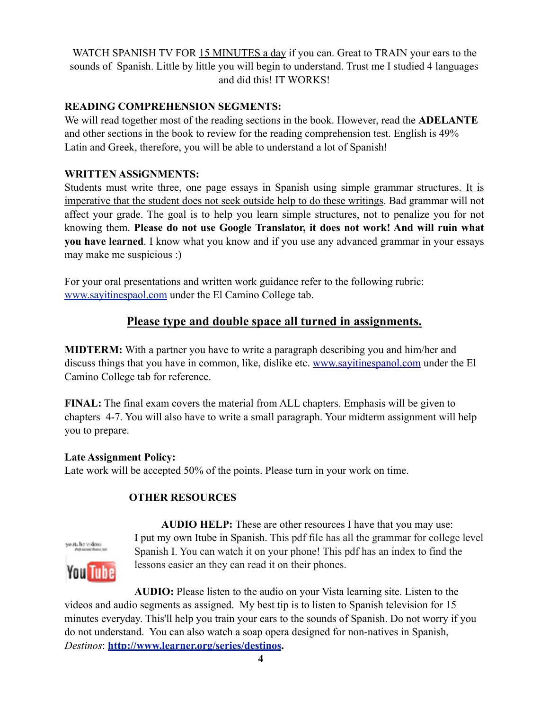WATCH SPANISH TV FOR 15 MINUTES a day if you can. Great to TRAIN your ears to the sounds of Spanish. Little by little you will begin to understand. Trust me I studied 4 languages and did this! IT WORKS!

#### **READING COMPREHENSION SEGMENTS:**

We will read together most of the reading sections in the book. However, read the **ADELANTE**  and other sections in the book to review for the reading comprehension test. English is 49% Latin and Greek, therefore, you will be able to understand a lot of Spanish!

#### **WRITTEN ASSiGNMENTS:**

Students must write three, one page essays in Spanish using simple grammar structures. It is imperative that the student does not seek outside help to do these writings. Bad grammar will not affect your grade. The goal is to help you learn simple structures, not to penalize you for not knowing them. **Please do not use Google Translator, it does not work! And will ruin what you have learned**. I know what you know and if you use any advanced grammar in your essays may make me suspicious :)

For your oral presentations and written work guidance refer to the following rubric: [www.sayitinespaol.com](http://www.sayitinespaol.com) under the El Camino College tab.

#### **Please type and double space all turned in assignments.**

**MIDTERM:** With a partner you have to write a paragraph describing you and him/her and discuss things that you have in common, like, dislike etc. [www.sayitinespanol.com](http://www.sayitinespanol.com) under the El Camino College tab for reference.

**FINAL:** The final exam covers the material from ALL chapters. Emphasis will be given to chapters 4-7. You will also have to write a small paragraph. Your midterm assignment will help you to prepare.

#### **Late Assignment Policy:**

Late work will be accepted 50% of the points. Please turn in your work on time.

#### **OTHER RESOURCES**



 **AUDIO HELP:** These are other resources I have that you may use: I put my own Itube in Spanish. This pdf file has all the grammar for college level Spanish I. You can watch it on your phone! This pdf has an index to find the lessons easier an they can read it on their phones.

**AUDIO:** Please listen to the audio on your Vista learning site. Listen to the videos and audio segments as assigned. My best tip is to listen to Spanish television for 15 minutes everyday. This'll help you train your ears to the sounds of Spanish. Do not worry if you do not understand. You can also watch a soap opera designed for non-natives in Spanish, *Destinos*: **[http://www.learner.org/series/destinos.](http://www.learner.org/series/destinos)**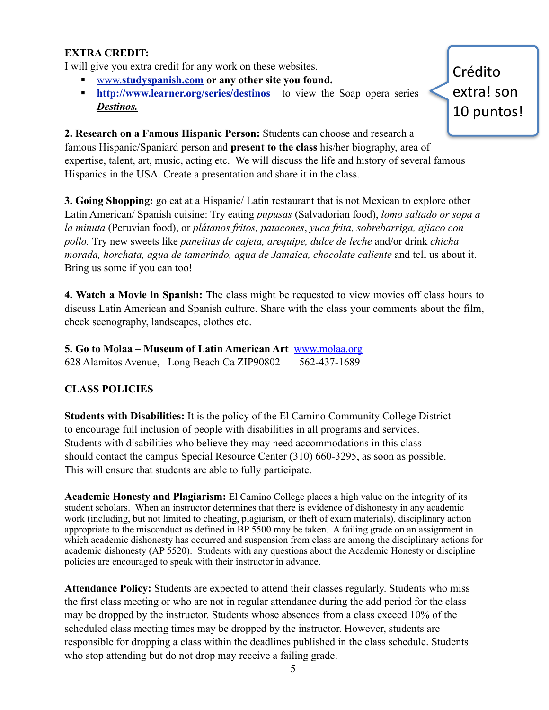#### **EXTRA CREDIT:**

I will give you extra credit for any work on these websites.

- § www.**[studyspanish.com](http://www.studyspanish.com) or any other site you found.**
- **http://www.learner.org/series/destinos** to view the Soap opera series *Destinos.*

Crédito extra! son 10 puntos!

**2. Research on a Famous Hispanic Person:** Students can choose and research a famous Hispanic/Spaniard person and **present to the class** his/her biography, area of expertise, talent, art, music, acting etc. We will discuss the life and history of several famous Hispanics in the USA. Create a presentation and share it in the class.

**3. Going Shopping:** go eat at a Hispanic/ Latin restaurant that is not Mexican to explore other Latin American/ Spanish cuisine: Try eating *pupusas* (Salvadorian food), *lomo saltado or sopa a la minuta* (Peruvian food), or *plátanos fritos, patacones*, *yuca frita, sobrebarriga, ajiaco con pollo.* Try new sweets like *panelitas de cajeta, arequipe, dulce de leche* and/or drink *chicha morada, horchata, agua de tamarindo, agua de Jamaica, chocolate caliente* and tell us about it. Bring us some if you can too!

**4. Watch a Movie in Spanish:** The class might be requested to view movies off class hours to discuss Latin American and Spanish culture. Share with the class your comments about the film, check scenography, landscapes, clothes etc.

**5. Go to Molaa – Museum of Latin American Art** [www.molaa.org](http://www.molaa.org) 628 Alamitos Avenue, Long Beach Ca ZIP90802 562-437-1689

#### **CLASS POLICIES**

**Students with Disabilities:** It is the policy of the El Camino Community College District to encourage full inclusion of people with disabilities in all programs and services. Students with disabilities who believe they may need accommodations in this class should contact the campus Special Resource Center (310) 660-3295, as soon as possible. This will ensure that students are able to fully participate.

**Academic Honesty and Plagiarism:** El Camino College places a high value on the integrity of its student scholars. When an instructor determines that there is evidence of dishonesty in any academic work (including, but not limited to cheating, plagiarism, or theft of exam materials), disciplinary action appropriate to the misconduct as defined in BP 5500 may be taken. A failing grade on an assignment in which academic dishonesty has occurred and suspension from class are among the disciplinary actions for academic dishonesty (AP 5520). Students with any questions about the Academic Honesty or discipline policies are encouraged to speak with their instructor in advance.

**Attendance Policy:** Students are expected to attend their classes regularly. Students who miss the first class meeting or who are not in regular attendance during the add period for the class may be dropped by the instructor. Students whose absences from a class exceed 10% of the scheduled class meeting times may be dropped by the instructor. However, students are responsible for dropping a class within the deadlines published in the class schedule. Students who stop attending but do not drop may receive a failing grade.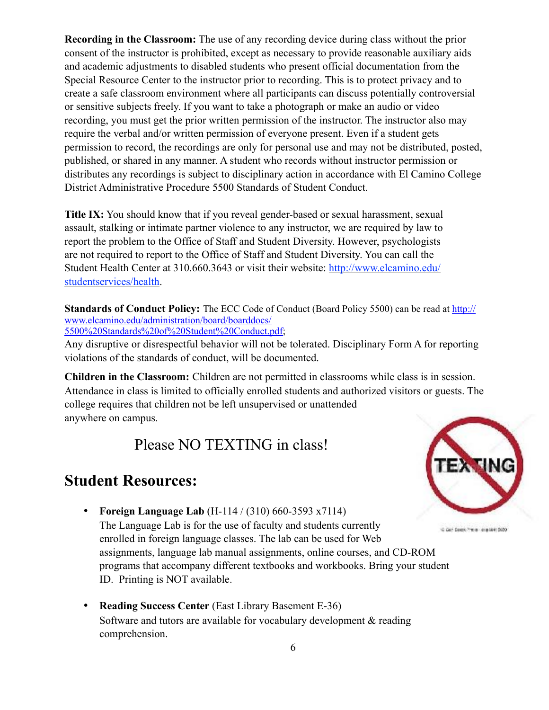**Recording in the Classroom:** The use of any recording device during class without the prior consent of the instructor is prohibited, except as necessary to provide reasonable auxiliary aids and academic adjustments to disabled students who present official documentation from the Special Resource Center to the instructor prior to recording. This is to protect privacy and to create a safe classroom environment where all participants can discuss potentially controversial or sensitive subjects freely. If you want to take a photograph or make an audio or video recording, you must get the prior written permission of the instructor. The instructor also may require the verbal and/or written permission of everyone present. Even if a student gets permission to record, the recordings are only for personal use and may not be distributed, posted, published, or shared in any manner. A student who records without instructor permission or distributes any recordings is subject to disciplinary action in accordance with El Camino College District Administrative Procedure 5500 Standards of Student Conduct.

**Title IX:** You should know that if you reveal gender-based or sexual harassment, sexual assault, stalking or intimate partner violence to any instructor, we are required by law to report the problem to the Office of Staff and Student Diversity. However, psychologists are not required to report to the Office of Staff and Student Diversity. You can call the Student Health Center at 310.660.3643 or visit their website: [http://www.elcamino.edu/](http://www.elcamino.edu/studentservices/health) [studentservices/health.](http://www.elcamino.edu/studentservices/health)

**Standards of Conduct Policy:** The ECC Code of Conduct (Board Policy 5500) can be read at [http://](http://www.elcamino.edu/administration/board/boarddocs/5500%2520Standards%2520of%2520Student%2520Conduct.pdf) [www.elcamino.edu/administration/board/boarddocs/](http://www.elcamino.edu/administration/board/boarddocs/5500%2520Standards%2520of%2520Student%2520Conduct.pdf) [5500%20Standards%20of%20Student%20Conduct.pdf;](http://www.elcamino.edu/administration/board/boarddocs/5500%2520Standards%2520of%2520Student%2520Conduct.pdf)

Any disruptive or disrespectful behavior will not be tolerated. Disciplinary Form A for reporting violations of the standards of conduct, will be documented.

**Children in the Classroom:** Children are not permitted in classrooms while class is in session. Attendance in class is limited to officially enrolled students and authorized visitors or guests. The college requires that children not be left unsupervised or unattended anywhere on campus.

Please NO TEXTING in class!

### **Student Resources:**

• **Foreign Language Lab** (H-114 / (310) 660-3593 x7114)

The Language Lab is for the use of faculty and students currently enrolled in foreign language classes. The lab can be used for Web assignments, language lab manual assignments, online courses, and CD-ROM programs that accompany different textbooks and workbooks. Bring your student ID. Printing is NOT available.

• **Reading Success Center** (East Library Basement E-36) Software and tutors are available for vocabulary development & reading comprehension.



12 Get Stock ("mis- depiled: 2620)

6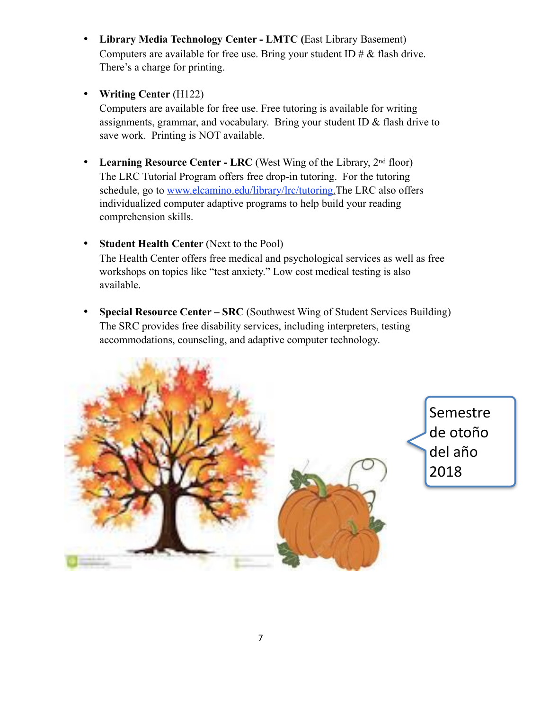- **Library Media Technology Center LMTC (**East Library Basement) Computers are available for free use. Bring your student ID  $\# \&$  flash drive. There's a charge for printing.
- **Writing Center** (H122)

Computers are available for free use. Free tutoring is available for writing assignments, grammar, and vocabulary. Bring your student ID & flash drive to save work. Printing is NOT available.

- Learning Resource Center LRC (West Wing of the Library, 2<sup>nd</sup> floor) The LRC Tutorial Program offers free drop-in tutoring. For the tutoring schedule, go to [www.elcamino.edu/library/lrc/tutoring.](http://www.elcamino.edu/library/lrc/tutoring)The LRC also offers individualized computer adaptive programs to help build your reading comprehension skills.
- **Student Health Center** (Next to the Pool) The Health Center offers free medical and psychological services as well as free workshops on topics like "test anxiety." Low cost medical testing is also available.
- **Special Resource Center SRC** (Southwest Wing of Student Services Building) The SRC provides free disability services, including interpreters, testing accommodations, counseling, and adaptive computer technology.